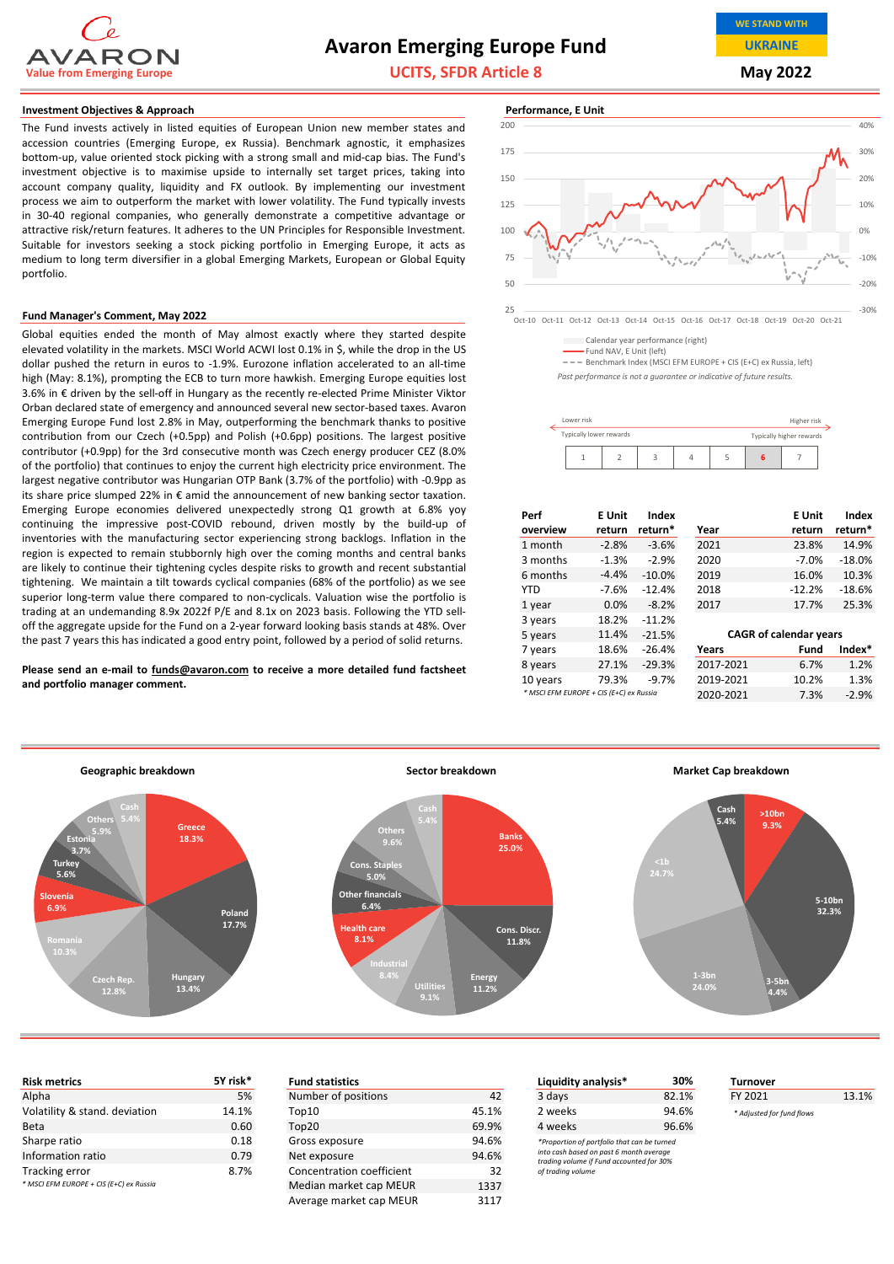

# **Avaron Emerging Europe Fund**

**UCITS, SFDR Article 8**

**WE STAND WITH UKRAINE**

**May 2022**

#### **Investment Objectives & Approach Performance, E Unit**

The Fund invests actively in listed equities of European Union new member states and accession countries (Emerging Europe, ex Russia). Benchmark agnostic, it emphasizes bottom‐up, value oriented stock picking with a strong small and mid‐cap bias. The Fund's investment objective is to maximise upside to internally set target prices, taking into account company quality, liquidity and FX outlook. By implementing our investment process we aim to outperform the market with lower volatility. The Fund typically invests in 30‐40 regional companies, who generally demonstrate a competitive advantage or attractive risk/return features. It adheres to the UN Principles for Responsible Investment. Suitable for investors seeking a stock picking portfolio in Emerging Europe, it acts as medium to long term diversifier in a global Emerging Markets, European or Global Equity portfolio.

#### **Fund Manager's Comment, May 2022**

Global equities ended the month of May almost exactly where they started despite elevated volatility in the markets. MSCI World ACWI lost 0.1% in \$, while the drop in the US dollar pushed the return in euros to ‐1.9%. Eurozone inflation accelerated to an all‐time high (May: 8.1%), prompting the ECB to turn more hawkish. Emerging Europe equities lost 3.6% in € driven by the sell‐off in Hungary as the recently re‐elected Prime Minister Viktor Orban declared state of emergency and announced several new sector‐based taxes. Avaron Emerging Europe Fund lost 2.8% in May, outperforming the benchmark thanks to positive contribution from our Czech (+0.5pp) and Polish (+0.6pp) positions. The largest positive contributor (+0.9pp) for the 3rd consecutive month was Czech energy producer CEZ (8.0% of the portfolio) that continues to enjoy the current high electricity price environment. The largest negative contributor was Hungarian OTP Bank (3.7% of the portfolio) with ‐0.9pp as its share price slumped 22% in € amid the announcement of new banking sector taxation. Emerging Europe economies delivered unexpectedly strong Q1 growth at 6.8% yoy continuing the impressive post‐COVID rebound, driven mostly by the build‐up of inventories with the manufacturing sector experiencing strong backlogs. Inflation in the region is expected to remain stubbornly high over the coming months and central banks are likely to continue their tightening cycles despite risks to growth and recent substantial tightening. We maintain a tilt towards cyclical companies (68% of the portfolio) as we see superior long-term value there compared to non-cyclicals. Valuation wise the portfolio is trading at an undemanding 8.9x 2022f P/E and 8.1x on 2023 basis. Following the YTD sell‐ off the aggregate upside for the Fund on a 2‐year forward looking basis stands at 48%. Over the past 7 years this has indicated a good entry point, followed by a period of solid returns.

**Please send an e‐mail to funds@avaron.com to receive a more detailed fund factsheet and portfolio manager comment.**



Calendar year performance (right)

Fund NAV, E Unit (left)

=== Benchmark Index (MSCI EFM EUROPE + CIS (E+C) ex Russia, left)

*Past performance is not a guarantee or indicative of future results.*

| Lower risk<br>Higher risk |  |  |                          |  |  |  |  |
|---------------------------|--|--|--------------------------|--|--|--|--|
| Typically lower rewards   |  |  | Typically higher rewards |  |  |  |  |
|                           |  |  |                          |  |  |  |  |

| Perf<br>overview                        | E Unit<br>return | Index<br>return* | Year      | E Unit<br>return              | Index<br>return* |
|-----------------------------------------|------------------|------------------|-----------|-------------------------------|------------------|
| 1 month                                 | $-2.8%$          | $-3.6%$          | 2021      | 23.8%                         | 14.9%            |
| 3 months                                | $-1.3%$          | $-2.9%$          | 2020      | $-7.0%$                       | $-18.0%$         |
| 6 months                                | $-4.4%$          | $-10.0%$         | 2019      | 16.0%                         | 10.3%            |
| <b>YTD</b>                              | $-7.6%$          | $-12.4%$         | 2018      | $-12.2%$                      | $-18.6%$         |
| 1 year                                  | 0.0%             | $-8.2%$          | 2017      | 17.7%                         | 25.3%            |
| 3 years                                 | 18.2%            | $-11.2%$         |           |                               |                  |
| 5 years                                 | 11.4%            | $-21.5%$         |           | <b>CAGR of calendar years</b> |                  |
| 7 years                                 | 18.6%            | $-26.4%$         | Years     | Fund                          | Index*           |
| 8 years                                 | 27.1%            | $-29.3%$         | 2017-2021 | 6.7%                          | 1.2%             |
| 10 years                                | 79.3%            | $-9.7%$          | 2019-2021 | 10.2%                         | 1.3%             |
| * MSCI EFM EUROPE + CIS (E+C) ex Russia |                  |                  | 2020-2021 | 7.3%                          | $-2.9%$          |



| 5Y risk*<br><b>Risk metrics</b>         |       | <b>Fund statistics</b>    |                         | Liquidity analysis*                                                                 | 30%   |  |
|-----------------------------------------|-------|---------------------------|-------------------------|-------------------------------------------------------------------------------------|-------|--|
| Alpha                                   | 5%    | Number of positions       | 42                      | 3 days                                                                              | 82.1% |  |
| Volatility & stand. deviation           | 14.1% | Top10                     | 45.1%                   | 2 weeks                                                                             | 94.6% |  |
| <b>Beta</b>                             | 0.60  | Top20                     | 69.9%                   | 4 weeks                                                                             | 96.6% |  |
| 0.18<br>Sharpe ratio                    |       | Gross exposure            | 94.6%                   | *Proportion of portfolio that can be turned                                         |       |  |
| Information ratio<br>0.79               |       | Net exposure              | 94.6%                   | into cash based on past 6 month average<br>trading volume if Fund accounted for 30% |       |  |
| Tracking error                          | 8.7%  | Concentration coefficient | 32<br>of trading volume |                                                                                     |       |  |
| * MSCI EFM EUROPE + CIS (E+C) ex Russia |       | Median market can MEUR    | 1337                    |                                                                                     |       |  |

| <b>Fund statistics</b>         |       | 30%<br>Liquidity analysis*                                                          |       |  |  |
|--------------------------------|-------|-------------------------------------------------------------------------------------|-------|--|--|
| Number of positions            | 42    | 3 days                                                                              | 82.1% |  |  |
| Top10                          | 45.1% | 2 weeks                                                                             | 94.6% |  |  |
| Top20                          | 69.9% | 4 weeks                                                                             | 96.6% |  |  |
| Gross exposure                 | 94.6% | *Proportion of portfolio that can be turned                                         |       |  |  |
| Net exposure                   | 94.6% | into cash based on past 6 month average<br>trading volume if Fund accounted for 30% |       |  |  |
| Concentration coefficient      | 32    | of trading volume                                                                   |       |  |  |
| Median market cap MEUR<br>1337 |       |                                                                                     |       |  |  |
| Average market cap MEUR        | 3117  |                                                                                     |       |  |  |

| <b>Risk metrics</b>           | 5Y risk* | <b>Fund statistics</b>    |       | Liquidity analysis*                                                                 | 30%   | Turnover                  |       |
|-------------------------------|----------|---------------------------|-------|-------------------------------------------------------------------------------------|-------|---------------------------|-------|
| Alpha                         | 5%       | Number of positions       | 42    | 3 days                                                                              | 82.1% | FY 2021                   | 13.1% |
| Volatility & stand. deviation | 14.1%    | Top10                     | 45.1% | 2 weeks                                                                             | 94.6% | * Adjusted for fund flows |       |
| Beta                          | 0.60     | Top20                     | 69.9% | 4 weeks                                                                             | 96.6% |                           |       |
| Sharpe ratio                  | 0.18     | Gross exposure            | 94.6% | *Proportion of portfolio that can be turned                                         |       |                           |       |
| Information ratio             | 0.79     | Net exposure              | 94.6% | into cash based on past 6 month average<br>trading volume if Fund accounted for 30% |       |                           |       |
| Tracking error                | 8.7%     | Concentration coefficient | 32    | of trading volume                                                                   |       |                           |       |